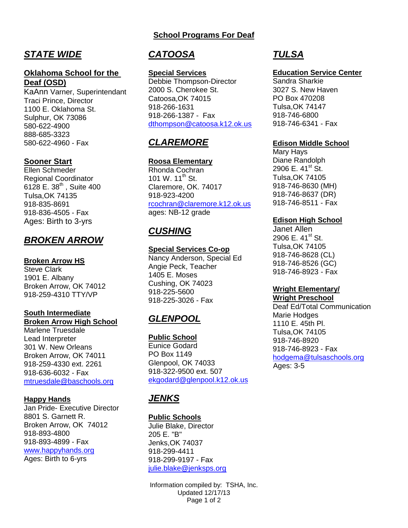# *STATE WIDE*

#### **Oklahoma School for the Deaf (OSD)**

KaAnn Varner, Superintendant Traci Prince, Director 1100 E. Oklahoma St. Sulphur, OK 73086 580-622-4900 888-685-3323 580-622-4960 - Fax

### **Sooner Start**

Ellen Schmeder Regional Coordinator 6128 E. 38<sup>th</sup>, Suite 400 Tulsa,OK 74135 918-835-8691 918-836-4505 - Fax Ages: Birth to 3-yrs

## *BROKEN ARROW*

#### **Broken Arrow HS**

Steve Clark 1901 E. Albany Broken Arrow, OK 74012 918-259-4310 TTY/VP

#### **South Intermediate Broken Arrow High School**

Marlene Truesdale Lead Interpreter 301 W. New Orleans Broken Arrow, OK 74011 918-259-4330 ext. 2261 918-636-6032 - Fax [mtruesdale@baschools.org](mailto:mtruesdale@baschools.org)

#### **Happy Hands**

Jan Pride- Executive Director 8801 S. Garnett R. Broken Arrow, OK 74012 918-893-4800 918-893-4899 - Fax [www.happyhands.org](http://www.happyhands.org/)  Ages: Birth to 6-yrs

# *CATOOSA*

#### **Special Services**

Debbie Thompson-Director 2000 S. Cherokee St. Catoosa,OK 74015 918-266-1631 918-266-1387 - Fax [dthompson@catoosa.k12.ok.us](mailto:dthompson@catoosa.k12.ok.us)

# *CLAREMORE*

#### **Roosa Elementary**

Rhonda Cochran 101 W.  $11^{th}$  St. Claremore, OK. 74017 918-923-4200 [rcochran@claremore.k12.ok.us](mailto:rcochran@claremore.k12.ok.us) ages: NB-12 grade

# *CUSHING*

### **Special Services Co-op**

Nancy Anderson, Special Ed Angie Peck, Teacher 1405 E. Moses Cushing, OK 74023 918-225-5600 918-225-3026 - Fax

# *GLENPOOL*

**Public School** Eunice Godard PO Box 1149 Glenpool, OK 74033 918-322-9500 ext. 507 [ekgodard@glenpool.k12.ok.us](mailto:ekgodard@glenpool.k12.ok.us)

# *JENKS*

#### **Public Schools**

Julie Blake, Director 205 E. "B" Jenks,OK 74037 918-299-4411 918-299-9197 - Fax [julie.blake@jenksps.org](mailto:julie.blake@jenksps.org)

Information compiled by: TSHA, Inc. Updated 12/17/13 Page 1 of 2

# *TULSA*

#### **Education Service Center**

Sandra Sharkie 3027 S. New Haven PO Box 470208 Tulsa,OK 74147 918-746-6800 918-746-6341 - Fax

#### **Edison Middle School**

Mary Hays Diane Randolph 2906 E.  $41^{\text{st}}$  St. Tulsa,OK 74105 918-746-8630 (MH) 918-746-8637 (DR) 918-746-8511 - Fax

#### **Edison High School**

Janet Allen 2906 E.  $41^{\text{st}}$  St. Tulsa,OK 74105 918-746-8628 (CL) 918-746-8526 (GC) 918-746-8923 - Fax

## **Wright Elementary/**

**Wright Preschool** Deaf Ed/Total Communication Marie Hodges 1110 E. 45th Pl. Tulsa,OK 74105 918-746-8920 918-746-8923 - Fax [hodgema@tulsaschools.org](mailto:hodgema@tulsaschools.org) Ages: 3-5